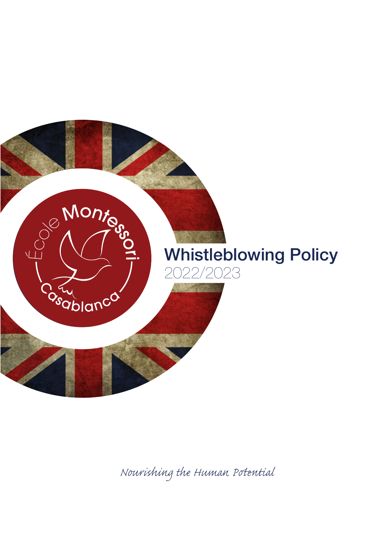

*Nourishing the Human Pential*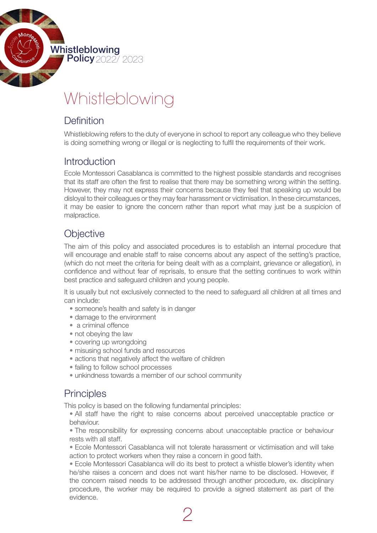

# Whistleblowing

## Definition

Whistleblowing refers to the duty of everyone in school to report any colleague who they believe is doing something wrong or illegal or is neglecting to fulfil the requirements of their work.

#### **Introduction**

Ecole Montessori Casablanca is committed to the highest possible standards and recognises that its staff are often the first to realise that there may be something wrong within the setting. However, they may not express their concerns because they feel that speaking up would be disloyal to their colleagues or they may fear harassment or victimisation. In these circumstances, it may be easier to ignore the concern rather than report what may just be a suspicion of malpractice.

# **Objective**

The aim of this policy and associated procedures is to establish an internal procedure that will encourage and enable staff to raise concerns about any aspect of the setting's practice, (which do not meet the criteria for being dealt with as a complaint, grievance or allegation), in confidence and without fear of reprisals, to ensure that the setting continues to work within best practice and safeguard children and young people.

It is usually but not exclusively connected to the need to safeguard all children at all times and can include:

- someone's health and safety is in danger
- damage to the environment
- a criminal offence
- not obeying the law
- covering up wrongdoing
- misusing school funds and resources
- actions that negatively affect the welfare of children
- failing to follow school processes
- unkindness towards a member of our school community

### **Principles**

This policy is based on the following fundamental principles:

• All staff have the right to raise concerns about perceived unacceptable practice or behaviour.

• The responsibility for expressing concerns about unacceptable practice or behaviour rests with all staff.

• Ecole Montessori Casablanca will not tolerate harassment or victimisation and will take action to protect workers when they raise a concern in good faith.

• Ecole Montessori Casablanca will do its best to protect a whistle blower's identity when he/she raises a concern and does not want his/her name to be disclosed. However, if the concern raised needs to be addressed through another procedure, ex. disciplinary procedure, the worker may be required to provide a signed statement as part of the evidence.